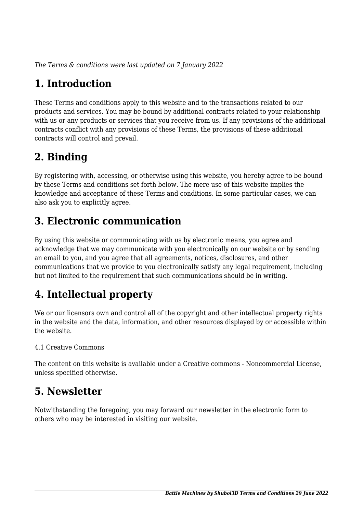*The Terms & conditions were last updated on 7 January 2022*

# **1. Introduction**

These Terms and conditions apply to this website and to the transactions related to our products and services. You may be bound by additional contracts related to your relationship with us or any products or services that you receive from us. If any provisions of the additional contracts conflict with any provisions of these Terms, the provisions of these additional contracts will control and prevail.

### **2. Binding**

By registering with, accessing, or otherwise using this website, you hereby agree to be bound by these Terms and conditions set forth below. The mere use of this website implies the knowledge and acceptance of these Terms and conditions. In some particular cases, we can also ask you to explicitly agree.

# **3. Electronic communication**

By using this website or communicating with us by electronic means, you agree and acknowledge that we may communicate with you electronically on our website or by sending an email to you, and you agree that all agreements, notices, disclosures, and other communications that we provide to you electronically satisfy any legal requirement, including but not limited to the requirement that such communications should be in writing.

# **4. Intellectual property**

We or our licensors own and control all of the copyright and other intellectual property rights in the website and the data, information, and other resources displayed by or accessible within the website.

#### 4.1 Creative Commons

The content on this website is available under a Creative commons - Noncommercial License, unless specified otherwise.

### **5. Newsletter**

Notwithstanding the foregoing, you may forward our newsletter in the electronic form to others who may be interested in visiting our website.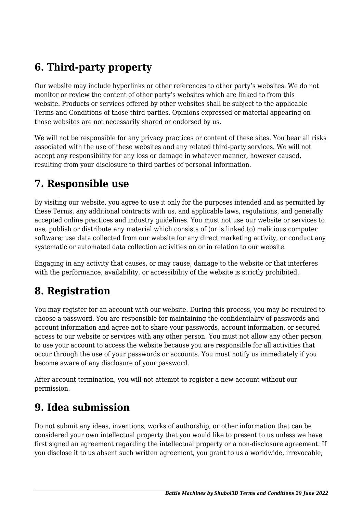# **6. Third-party property**

Our website may include hyperlinks or other references to other party's websites. We do not monitor or review the content of other party's websites which are linked to from this website. Products or services offered by other websites shall be subject to the applicable Terms and Conditions of those third parties. Opinions expressed or material appearing on those websites are not necessarily shared or endorsed by us.

We will not be responsible for any privacy practices or content of these sites. You bear all risks associated with the use of these websites and any related third-party services. We will not accept any responsibility for any loss or damage in whatever manner, however caused, resulting from your disclosure to third parties of personal information.

### **7. Responsible use**

By visiting our website, you agree to use it only for the purposes intended and as permitted by these Terms, any additional contracts with us, and applicable laws, regulations, and generally accepted online practices and industry guidelines. You must not use our website or services to use, publish or distribute any material which consists of (or is linked to) malicious computer software; use data collected from our website for any direct marketing activity, or conduct any systematic or automated data collection activities on or in relation to our website.

Engaging in any activity that causes, or may cause, damage to the website or that interferes with the performance, availability, or accessibility of the website is strictly prohibited.

### **8. Registration**

You may register for an account with our website. During this process, you may be required to choose a password. You are responsible for maintaining the confidentiality of passwords and account information and agree not to share your passwords, account information, or secured access to our website or services with any other person. You must not allow any other person to use your account to access the website because you are responsible for all activities that occur through the use of your passwords or accounts. You must notify us immediately if you become aware of any disclosure of your password.

After account termination, you will not attempt to register a new account without our permission.

# **9. Idea submission**

Do not submit any ideas, inventions, works of authorship, or other information that can be considered your own intellectual property that you would like to present to us unless we have first signed an agreement regarding the intellectual property or a non-disclosure agreement. If you disclose it to us absent such written agreement, you grant to us a worldwide, irrevocable,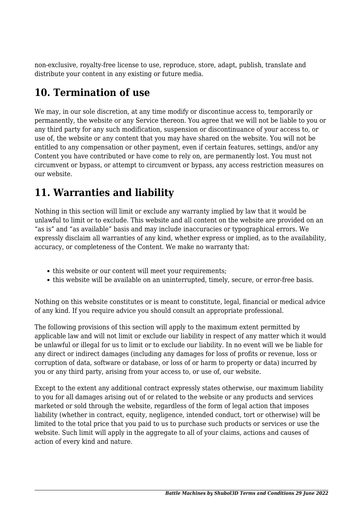non-exclusive, royalty-free license to use, reproduce, store, adapt, publish, translate and distribute your content in any existing or future media.

### **10. Termination of use**

We may, in our sole discretion, at any time modify or discontinue access to, temporarily or permanently, the website or any Service thereon. You agree that we will not be liable to you or any third party for any such modification, suspension or discontinuance of your access to, or use of, the website or any content that you may have shared on the website. You will not be entitled to any compensation or other payment, even if certain features, settings, and/or any Content you have contributed or have come to rely on, are permanently lost. You must not circumvent or bypass, or attempt to circumvent or bypass, any access restriction measures on our website.

# **11. Warranties and liability**

Nothing in this section will limit or exclude any warranty implied by law that it would be unlawful to limit or to exclude. This website and all content on the website are provided on an "as is" and "as available" basis and may include inaccuracies or typographical errors. We expressly disclaim all warranties of any kind, whether express or implied, as to the availability, accuracy, or completeness of the Content. We make no warranty that:

- this website or our content will meet your requirements;
- this website will be available on an uninterrupted, timely, secure, or error-free basis.

Nothing on this website constitutes or is meant to constitute, legal, financial or medical advice of any kind. If you require advice you should consult an appropriate professional.

The following provisions of this section will apply to the maximum extent permitted by applicable law and will not limit or exclude our liability in respect of any matter which it would be unlawful or illegal for us to limit or to exclude our liability. In no event will we be liable for any direct or indirect damages (including any damages for loss of profits or revenue, loss or corruption of data, software or database, or loss of or harm to property or data) incurred by you or any third party, arising from your access to, or use of, our website.

Except to the extent any additional contract expressly states otherwise, our maximum liability to you for all damages arising out of or related to the website or any products and services marketed or sold through the website, regardless of the form of legal action that imposes liability (whether in contract, equity, negligence, intended conduct, tort or otherwise) will be limited to the total price that you paid to us to purchase such products or services or use the website. Such limit will apply in the aggregate to all of your claims, actions and causes of action of every kind and nature.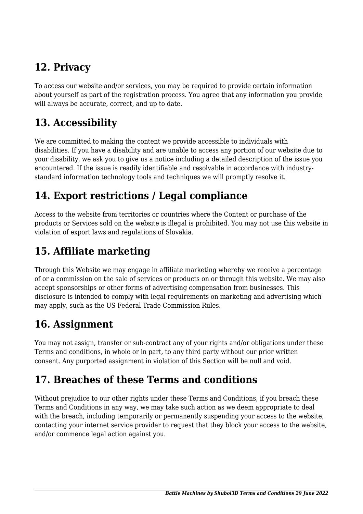# **12. Privacy**

To access our website and/or services, you may be required to provide certain information about yourself as part of the registration process. You agree that any information you provide will always be accurate, correct, and up to date.

### **13. Accessibility**

We are committed to making the content we provide accessible to individuals with disabilities. If you have a disability and are unable to access any portion of our website due to your disability, we ask you to give us a notice including a detailed description of the issue you encountered. If the issue is readily identifiable and resolvable in accordance with industrystandard information technology tools and techniques we will promptly resolve it.

# **14. Export restrictions / Legal compliance**

Access to the website from territories or countries where the Content or purchase of the products or Services sold on the website is illegal is prohibited. You may not use this website in violation of export laws and regulations of Slovakia.

### **15. Affiliate marketing**

Through this Website we may engage in affiliate marketing whereby we receive a percentage of or a commission on the sale of services or products on or through this website. We may also accept sponsorships or other forms of advertising compensation from businesses. This disclosure is intended to comply with legal requirements on marketing and advertising which may apply, such as the US Federal Trade Commission Rules.

# **16. Assignment**

You may not assign, transfer or sub-contract any of your rights and/or obligations under these Terms and conditions, in whole or in part, to any third party without our prior written consent. Any purported assignment in violation of this Section will be null and void.

# **17. Breaches of these Terms and conditions**

Without prejudice to our other rights under these Terms and Conditions, if you breach these Terms and Conditions in any way, we may take such action as we deem appropriate to deal with the breach, including temporarily or permanently suspending your access to the website, contacting your internet service provider to request that they block your access to the website, and/or commence legal action against you.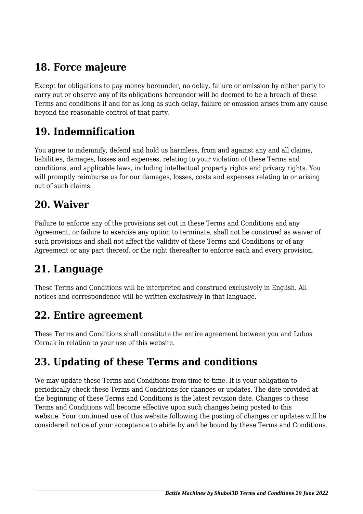# **18. Force majeure**

Except for obligations to pay money hereunder, no delay, failure or omission by either party to carry out or observe any of its obligations hereunder will be deemed to be a breach of these Terms and conditions if and for as long as such delay, failure or omission arises from any cause beyond the reasonable control of that party.

### **19. Indemnification**

You agree to indemnify, defend and hold us harmless, from and against any and all claims, liabilities, damages, losses and expenses, relating to your violation of these Terms and conditions, and applicable laws, including intellectual property rights and privacy rights. You will promptly reimburse us for our damages, losses, costs and expenses relating to or arising out of such claims.

#### **20. Waiver**

Failure to enforce any of the provisions set out in these Terms and Conditions and any Agreement, or failure to exercise any option to terminate, shall not be construed as waiver of such provisions and shall not affect the validity of these Terms and Conditions or of any Agreement or any part thereof, or the right thereafter to enforce each and every provision.

### **21. Language**

These Terms and Conditions will be interpreted and construed exclusively in English. All notices and correspondence will be written exclusively in that language.

#### **22. Entire agreement**

These Terms and Conditions shall constitute the entire agreement between you and Lubos Cernak in relation to your use of this website.

# **23. Updating of these Terms and conditions**

We may update these Terms and Conditions from time to time. It is your obligation to periodically check these Terms and Conditions for changes or updates. The date provided at the beginning of these Terms and Conditions is the latest revision date. Changes to these Terms and Conditions will become effective upon such changes being posted to this website. Your continued use of this website following the posting of changes or updates will be considered notice of your acceptance to abide by and be bound by these Terms and Conditions.